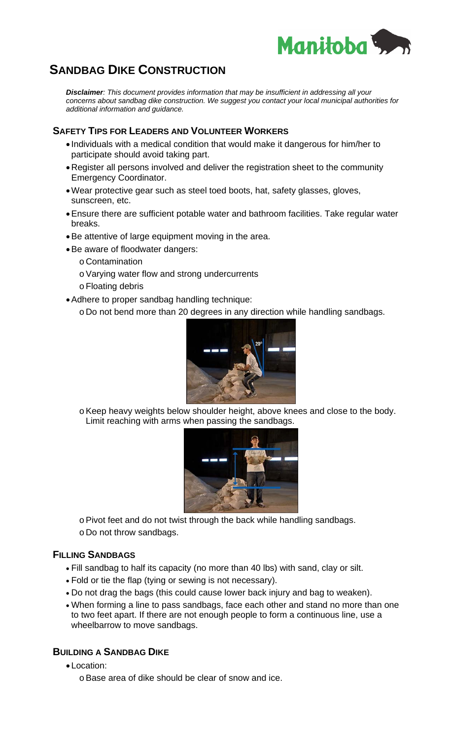

# **SANDBAG DIKE CONSTRUCTION**

*Disclaimer: This document provides information that may be insufficient in addressing all your concerns about sandbag dike construction. We suggest you contact your local municipal authorities for additional information and guidance.* 

## **SAFETY TIPS FOR LEADERS AND VOLUNTEER WORKERS**

- Individuals with a medical condition that would make it dangerous for him/her to participate should avoid taking part.
- Register all persons involved and deliver the registration sheet to the community Emergency Coordinator.
- Wear protective gear such as steel toed boots, hat, safety glasses, gloves, sunscreen, etc.
- Ensure there are sufficient potable water and bathroom facilities. Take regular water breaks.
- Be attentive of large equipment moving in the area.
- Be aware of floodwater dangers:
	- o Contamination
	- o Varying water flow and strong undercurrents
	- o Floating debris
- Adhere to proper sandbag handling technique:
	- o Do not bend more than 20 degrees in any direction while handling sandbags.



o Keep heavy weights below shoulder height, above knees and close to the body. Limit reaching with arms when passing the sandbags.



o Pivot feet and do not twist through the back while handling sandbags. o Do not throw sandbags.

### **FILLING SANDBAGS**

- Fill sandbag to half its capacity (no more than 40 lbs) with sand, clay or silt.
- Fold or tie the flap (tying or sewing is not necessary).
- Do not drag the bags (this could cause lower back injury and bag to weaken).
- When forming a line to pass sandbags, face each other and stand no more than one to two feet apart. If there are not enough people to form a continuous line, use a wheelbarrow to move sandbags.

### **BUILDING A SANDBAG DIKE**

- Location:
	- o Base area of dike should be clear of snow and ice.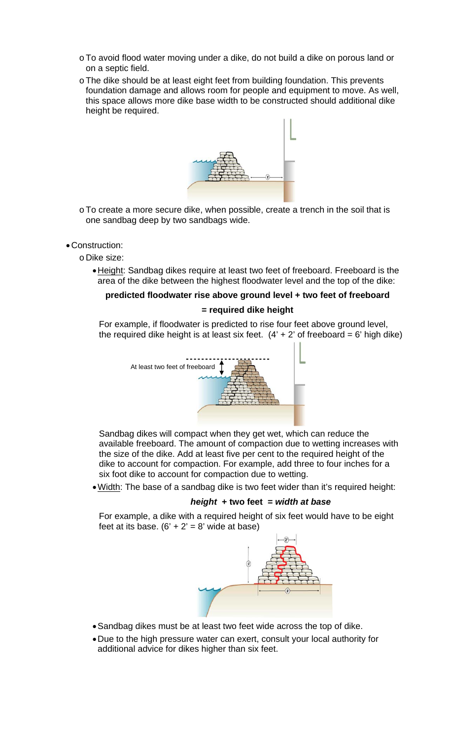- o To avoid flood water moving under a dike, do not build a dike on porous land or on a septic field.
- o The dike should be at least eight feet from building foundation. This prevents foundation damage and allows room for people and equipment to move. As well, this space allows more dike base width to be constructed should additional dike height be required.



o To create a more secure dike, when possible, create a trench in the soil that is one sandbag deep by two sandbags wide.

#### • Construction:

o Dike size:

• Height: Sandbag dikes require at least two feet of freeboard. Freeboard is the area of the dike between the highest floodwater level and the top of the dike:

# **predicted floodwater rise above ground level + two feet of freeboard**

### **= required dike height**

For example, if floodwater is predicted to rise four feet above ground level, the required dike height is at least six feet.  $(4' + 2'$  of freeboard = 6' high dike)



Sandbag dikes will compact when they get wet, which can reduce the available freeboard. The amount of compaction due to wetting increases with the size of the dike. Add at least five per cent to the required height of the dike to account for compaction. For example, add three to four inches for a six foot dike to account for compaction due to wetting.

• Width: The base of a sandbag dike is two feet wider than it's required height:

### *height* **+ two feet =** *width at base*

For example, a dike with a required height of six feet would have to be eight feet at its base.  $(6' + 2' = 8'$  wide at base)



- Sandbag dikes must be at least two feet wide across the top of dike.
- Due to the high pressure water can exert, consult your local authority for additional advice for dikes higher than six feet.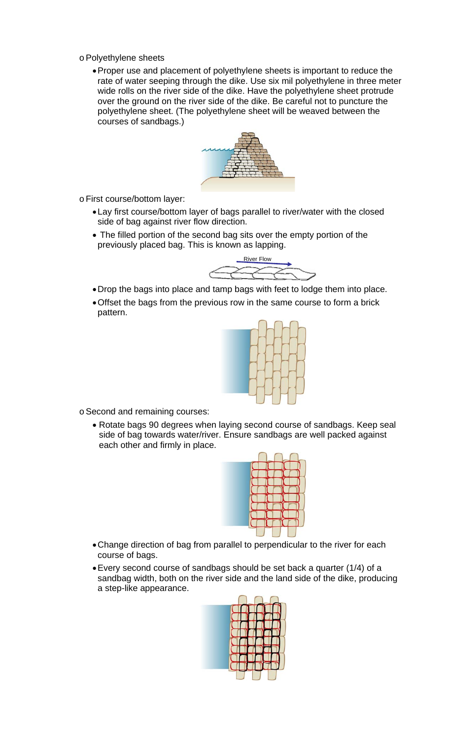- o Polyethylene sheets
	- Proper use and placement of polyethylene sheets is important to reduce the rate of water seeping through the dike. Use six mil polyethylene in three meter wide rolls on the river side of the dike. Have the polyethylene sheet protrude over the ground on the river side of the dike. Be careful not to puncture the polyethylene sheet. (The polyethylene sheet will be weaved between the courses of sandbags.)



o First course/bottom layer:

- Lay first course/bottom layer of bags parallel to river/water with the closed side of bag against river flow direction.
- The filled portion of the second bag sits over the empty portion of the previously placed bag. This is known as lapping.



- Drop the bags into place and tamp bags with feet to lodge them into place.
- Offset the bags from the previous row in the same course to form a brick pattern.



o Second and remaining courses:

• Rotate bags 90 degrees when laying second course of sandbags. Keep seal side of bag towards water/river. Ensure sandbags are well packed against each other and firmly in place.



- Change direction of bag from parallel to perpendicular to the river for each course of bags.
- Every second course of sandbags should be set back a quarter (1/4) of a sandbag width, both on the river side and the land side of the dike, producing a step-like appearance.